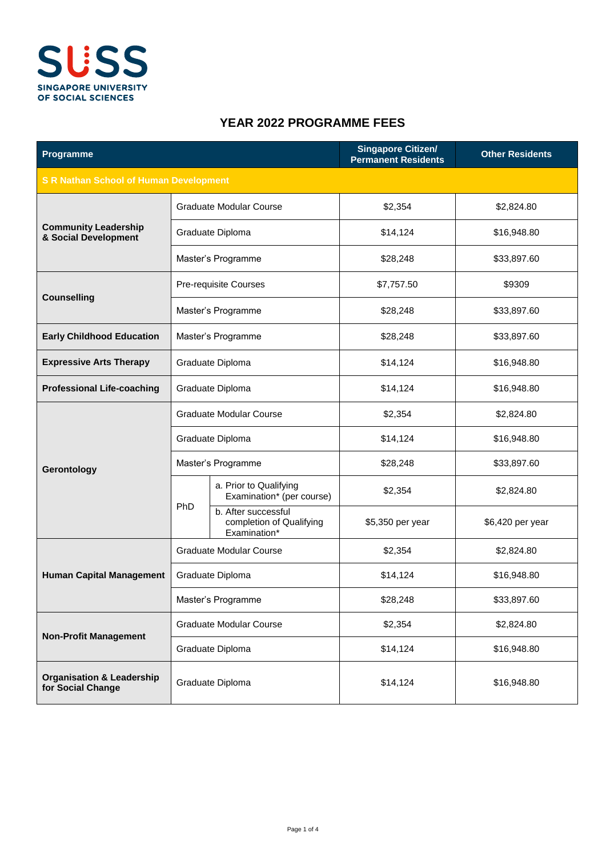

## **YEAR 2022 PROGRAMME FEES**

| Programme                                                 |                                |                                                                 | <b>Singapore Citizen/</b><br><b>Permanent Residents</b> | <b>Other Residents</b> |  |
|-----------------------------------------------------------|--------------------------------|-----------------------------------------------------------------|---------------------------------------------------------|------------------------|--|
| <b>S R Nathan School of Human Development</b>             |                                |                                                                 |                                                         |                        |  |
| <b>Community Leadership</b><br>& Social Development       | Graduate Modular Course        |                                                                 | \$2,354                                                 | \$2,824.80             |  |
|                                                           |                                | Graduate Diploma                                                | \$14,124                                                | \$16,948.80            |  |
|                                                           | Master's Programme             |                                                                 | \$28,248                                                | \$33,897.60            |  |
| <b>Counselling</b>                                        | Pre-requisite Courses          |                                                                 | \$7,757.50                                              | \$9309                 |  |
|                                                           | Master's Programme             |                                                                 | \$28,248                                                | \$33,897.60            |  |
| <b>Early Childhood Education</b>                          |                                | Master's Programme                                              | \$28,248                                                | \$33,897.60            |  |
| <b>Expressive Arts Therapy</b>                            | Graduate Diploma               |                                                                 | \$14,124                                                | \$16,948.80            |  |
| <b>Professional Life-coaching</b>                         |                                | Graduate Diploma                                                | \$14,124                                                | \$16,948.80            |  |
| Gerontology                                               | <b>Graduate Modular Course</b> |                                                                 | \$2,354                                                 | \$2,824.80             |  |
|                                                           | Graduate Diploma               |                                                                 | \$14,124                                                | \$16,948.80            |  |
|                                                           | Master's Programme             |                                                                 | \$28,248                                                | \$33,897.60            |  |
|                                                           | <b>PhD</b>                     | a. Prior to Qualifying<br>Examination* (per course)             | \$2,354                                                 | \$2,824.80             |  |
|                                                           |                                | b. After successful<br>completion of Qualifying<br>Examination* | \$5,350 per year                                        | \$6,420 per year       |  |
| <b>Human Capital Management</b>                           | <b>Graduate Modular Course</b> |                                                                 | \$2,354                                                 | \$2,824.80             |  |
|                                                           | Graduate Diploma               |                                                                 | \$14,124                                                | \$16,948.80            |  |
|                                                           | Master's Programme             |                                                                 | \$28,248                                                | \$33,897.60            |  |
| <b>Non-Profit Management</b>                              | <b>Graduate Modular Course</b> |                                                                 | \$2,354                                                 | \$2,824.80             |  |
|                                                           | Graduate Diploma               |                                                                 | \$14,124                                                | \$16,948.80            |  |
| <b>Organisation &amp; Leadership</b><br>for Social Change | Graduate Diploma               |                                                                 | \$14,124                                                | \$16,948.80            |  |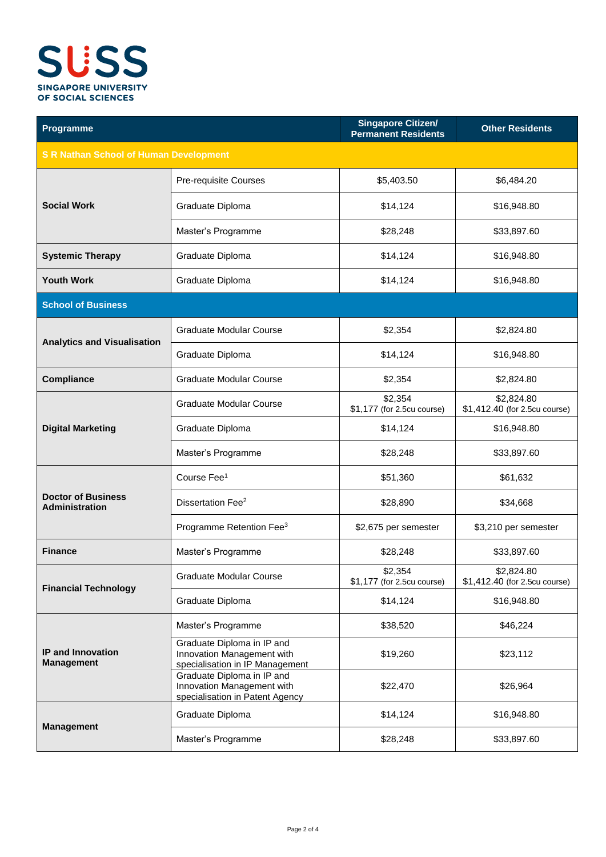

| Programme                                          |                                                                                             | <b>Singapore Citizen/</b><br><b>Permanent Residents</b> | <b>Other Residents</b>                      |  |  |  |
|----------------------------------------------------|---------------------------------------------------------------------------------------------|---------------------------------------------------------|---------------------------------------------|--|--|--|
| <b>S R Nathan School of Human Development</b>      |                                                                                             |                                                         |                                             |  |  |  |
| <b>Social Work</b>                                 | Pre-requisite Courses                                                                       | \$5,403.50                                              | \$6,484.20                                  |  |  |  |
|                                                    | Graduate Diploma                                                                            | \$14,124                                                | \$16,948.80                                 |  |  |  |
|                                                    | Master's Programme                                                                          | \$28,248                                                | \$33,897.60                                 |  |  |  |
| <b>Systemic Therapy</b>                            | Graduate Diploma                                                                            | \$14,124                                                | \$16,948.80                                 |  |  |  |
| <b>Youth Work</b>                                  | Graduate Diploma                                                                            | \$14,124                                                | \$16,948.80                                 |  |  |  |
| <b>School of Business</b>                          |                                                                                             |                                                         |                                             |  |  |  |
| <b>Analytics and Visualisation</b>                 | <b>Graduate Modular Course</b>                                                              | \$2,354                                                 | \$2,824.80                                  |  |  |  |
|                                                    | Graduate Diploma                                                                            | \$14,124                                                | \$16,948.80                                 |  |  |  |
| <b>Compliance</b>                                  | <b>Graduate Modular Course</b>                                                              | \$2,354                                                 | \$2,824.80                                  |  |  |  |
| <b>Digital Marketing</b>                           | Graduate Modular Course                                                                     | \$2,354<br>\$1,177 (for 2.5cu course)                   | \$2,824.80<br>\$1,412.40 (for 2.5cu course) |  |  |  |
|                                                    | Graduate Diploma                                                                            | \$14,124                                                | \$16,948.80                                 |  |  |  |
|                                                    | Master's Programme                                                                          | \$28,248                                                | \$33,897.60                                 |  |  |  |
| <b>Doctor of Business</b><br><b>Administration</b> | Course Fee <sup>1</sup>                                                                     | \$51,360                                                | \$61,632                                    |  |  |  |
|                                                    | Dissertation Fee <sup>2</sup>                                                               | \$28,890                                                | \$34,668                                    |  |  |  |
|                                                    | Programme Retention Fee <sup>3</sup>                                                        | \$2,675 per semester                                    | \$3,210 per semester                        |  |  |  |
| <b>Finance</b>                                     | Master's Programme                                                                          | \$28,248                                                | \$33,897.60                                 |  |  |  |
| <b>Financial Technology</b>                        | <b>Graduate Modular Course</b>                                                              | \$2,354<br>\$1,177 (for 2.5cu course)                   | \$2,824.80<br>\$1,412.40 (for 2.5cu course) |  |  |  |
|                                                    | Graduate Diploma                                                                            | \$14,124                                                | \$16,948.80                                 |  |  |  |
| IP and Innovation<br><b>Management</b>             | Master's Programme                                                                          | \$38,520                                                | \$46,224                                    |  |  |  |
|                                                    | Graduate Diploma in IP and<br>Innovation Management with<br>specialisation in IP Management | \$19,260                                                | \$23,112                                    |  |  |  |
|                                                    | Graduate Diploma in IP and<br>Innovation Management with<br>specialisation in Patent Agency | \$22,470                                                | \$26,964                                    |  |  |  |
| <b>Management</b>                                  | Graduate Diploma                                                                            | \$14,124                                                | \$16,948.80                                 |  |  |  |
|                                                    | Master's Programme                                                                          | \$28,248                                                | \$33,897.60                                 |  |  |  |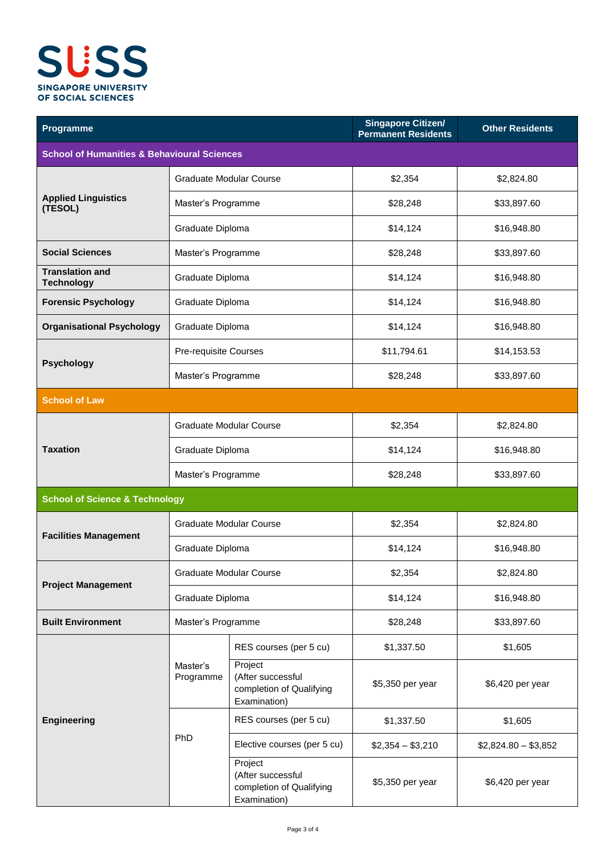

| Programme                                              |                                | <b>Singapore Citizen/</b><br><b>Permanent Residents</b>                  | <b>Other Residents</b> |                      |  |  |
|--------------------------------------------------------|--------------------------------|--------------------------------------------------------------------------|------------------------|----------------------|--|--|
| <b>School of Humanities &amp; Behavioural Sciences</b> |                                |                                                                          |                        |                      |  |  |
|                                                        | Graduate Modular Course        |                                                                          | \$2,354                | \$2,824.80           |  |  |
| <b>Applied Linguistics</b><br>(TESOL)                  | Master's Programme             |                                                                          | \$28,248               | \$33,897.60          |  |  |
|                                                        | Graduate Diploma               |                                                                          | \$14,124               | \$16,948.80          |  |  |
| <b>Social Sciences</b>                                 | Master's Programme             |                                                                          | \$28,248               | \$33,897.60          |  |  |
| <b>Translation and</b><br><b>Technology</b>            | Graduate Diploma               |                                                                          | \$14,124               | \$16,948.80          |  |  |
| <b>Forensic Psychology</b>                             | Graduate Diploma               |                                                                          | \$14,124               | \$16,948.80          |  |  |
| <b>Organisational Psychology</b>                       | Graduate Diploma               |                                                                          | \$14,124               | \$16,948.80          |  |  |
|                                                        | Pre-requisite Courses          |                                                                          | \$11,794.61            | \$14,153.53          |  |  |
| <b>Psychology</b>                                      | Master's Programme             |                                                                          | \$28,248               | \$33,897.60          |  |  |
| <b>School of Law</b>                                   |                                |                                                                          |                        |                      |  |  |
|                                                        | <b>Graduate Modular Course</b> |                                                                          | \$2,354                | \$2,824.80           |  |  |
| <b>Taxation</b>                                        | Graduate Diploma               |                                                                          | \$14,124               | \$16,948.80          |  |  |
|                                                        | Master's Programme             |                                                                          | \$28,248               | \$33,897.60          |  |  |
| <b>School of Science &amp; Technology</b>              |                                |                                                                          |                        |                      |  |  |
| <b>Facilities Management</b>                           | <b>Graduate Modular Course</b> |                                                                          | \$2,354                | \$2,824.80           |  |  |
|                                                        | Graduate Diploma               |                                                                          | \$14,124               | \$16,948.80          |  |  |
| <b>Project Management</b>                              | Graduate Modular Course        |                                                                          | \$2,354                | \$2,824.80           |  |  |
|                                                        | Graduate Diploma               |                                                                          | \$14,124               | \$16,948.80          |  |  |
| <b>Built Environment</b>                               | Master's Programme             |                                                                          | \$28,248               | \$33,897.60          |  |  |
| <b>Engineering</b>                                     | Master's<br>Programme          | RES courses (per 5 cu)                                                   | \$1,337.50             | \$1,605              |  |  |
|                                                        |                                | Project<br>(After successful<br>completion of Qualifying<br>Examination) | \$5,350 per year       | \$6,420 per year     |  |  |
|                                                        | PhD                            | RES courses (per 5 cu)                                                   | \$1,337.50             | \$1,605              |  |  |
|                                                        |                                | Elective courses (per 5 cu)                                              | $$2,354 - $3,210$      | $$2,824.80 - $3,852$ |  |  |
|                                                        |                                | Project<br>(After successful<br>completion of Qualifying<br>Examination) | \$5,350 per year       | \$6,420 per year     |  |  |